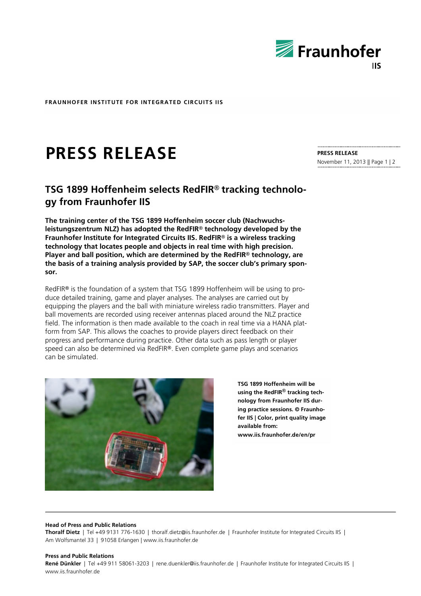

**PRESS RELEASE**

November 11, 2013 || Page 1 | 2

**FRAUNHOFER INSTITUTE FOR INTEGRATED CIRCUITS IIS**

# **PRESS RELEASE**

# **TSG 1899 Hoffenheim selects RedFIR® tracking technology from Fraunhofer IIS**

**The training center of the TSG 1899 Hoffenheim soccer club (Nachwuchsleistungszentrum NLZ) has adopted the RedFIR® technology developed by the Fraunhofer Institute for Integrated Circuits IIS. RedFIR® is a wireless tracking technology that locates people and objects in real time with high precision. Player and ball position, which are determined by the RedFIR® technology, are the basis of a training analysis provided by SAP, the soccer club's primary sponsor.**

RedFIR**®** is the foundation of a system that TSG 1899 Hoffenheim will be using to produce detailed training, game and player analyses. The analyses are carried out by equipping the players and the ball with miniature wireless radio transmitters. Player and ball movements are recorded using receiver antennas placed around the NLZ practice field. The information is then made available to the coach in real time via a HANA platform from SAP. This allows the coaches to provide players direct feedback on their progress and performance during practice. Other data such as pass length or player speed can also be determined via RedFIR**®**. Even complete game plays and scenarios can be simulated.



**TSG 1899 Hoffenheim will be using the RedFIR® tracking technology from Fraunhofer IIS during practice sessions. © Fraunhofer IIS | Color, print quality image available from: www.iis.fraunhofer.de/en/pr**

**Head of Press and Public Relations**

**Thoralf Dietz** | Tel +49 9131 776-1630 | thoralf.dietz@iis.fraunhofer.de | Fraunhofer Institute for Integrated Circuits IIS | Am Wolfsmantel 33 | 91058 Erlangen | www.iis.fraunhofer.de

#### **Press and Public Relations**

René Dünkler | Tel +49 911 58061-3203 | rene.duenkler@iis.fraunhofer.de | Fraunhofer Institute for Integrated Circuits IIS | www.iis.fraunhofer.de